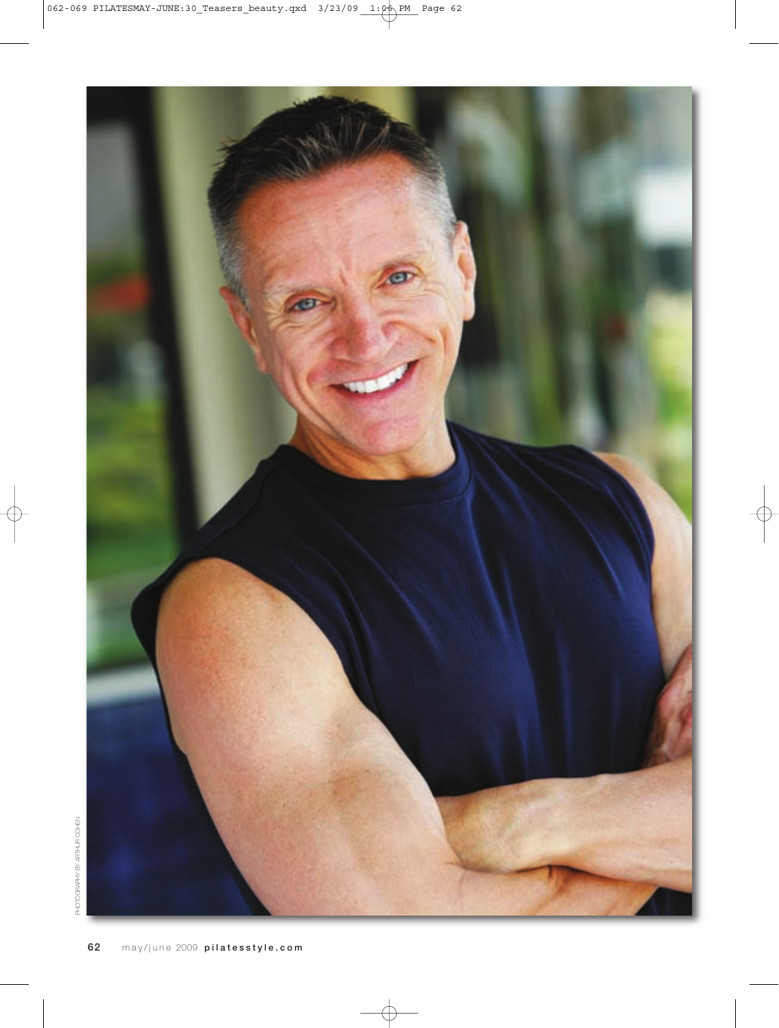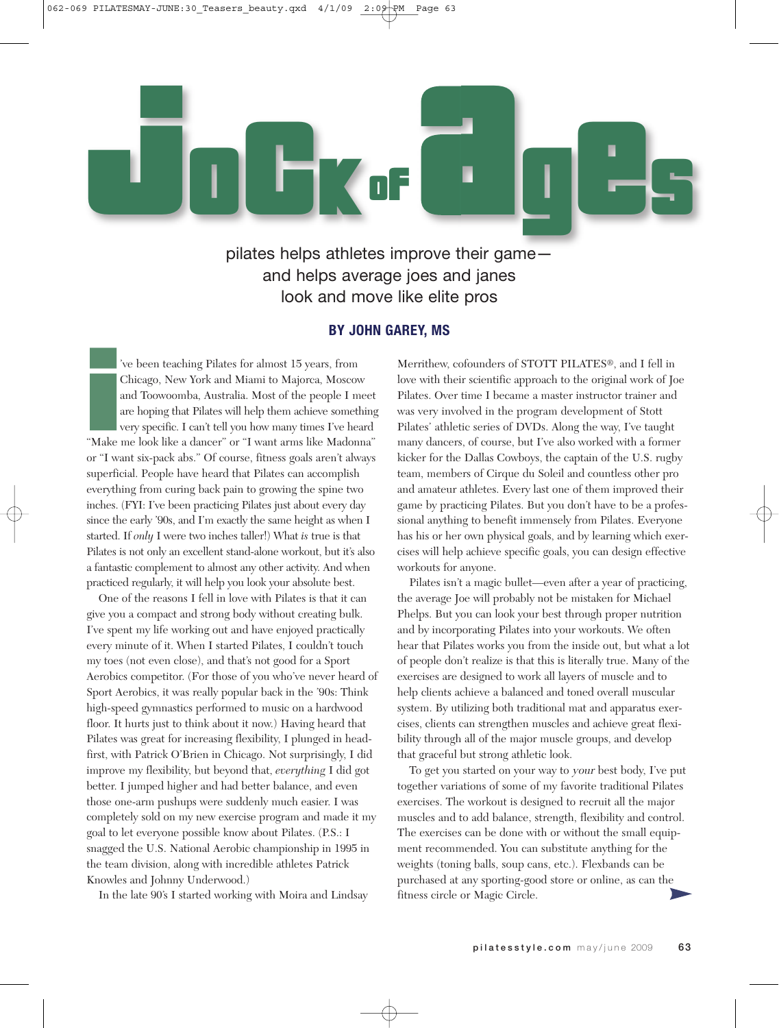

pilates helps athletes improve their game and helps average joes and janes look and move like elite pros

#### **BY JOHN GAREY, MS**

i<br>Make<br>or "I w 've been teaching Pilates for almost 15 years, from Chicago, New York and Miami to Majorca, Moscow and Toowoomba, Australia. Most of the people I meet are hoping that Pilates will help them achieve something very specific. I can't tell you how many times I've heard "Make me look like a dancer" or "I want arms like Madonna" or "I want six-pack abs." Of course, fitness goals aren't always superficial. People have heard that Pilates can accomplish everything from curing back pain to growing the spine two inches. (FYI: I've been practicing Pilates just about every day since the early '90s, and I'm exactly the same height as when I started. If *only* I were two inches taller!) What *is* true is that Pilates is not only an excellent stand-alone workout, but it's also a fantastic complement to almost any other activity. And when practiced regularly, it will help you look your absolute best.

One of the reasons I fell in love with Pilates is that it can give you a compact and strong body without creating bulk. I've spent my life working out and have enjoyed practically every minute of it. When I started Pilates, I couldn't touch my toes (not even close), and that's not good for a Sport Aerobics competitor. (For those of you who've never heard of Sport Aerobics, it was really popular back in the '90s: Think high-speed gymnastics performed to music on a hardwood floor. It hurts just to think about it now.) Having heard that Pilates was great for increasing flexibility, I plunged in headfirst, with Patrick O'Brien in Chicago. Not surprisingly, I did improve my flexibility, but beyond that, *everything* I did got better. I jumped higher and had better balance, and even those one-arm pushups were suddenly much easier. I was completely sold on my new exercise program and made it my goal to let everyone possible know about Pilates. (P.S.: I snagged the U.S. National Aerobic championship in 1995 in the team division, along with incredible athletes Patrick Knowles and Johnny Underwood.)

In the late 90's I started working with Moira and Lindsay

Merrithew, cofounders of STOTT PILATES®, and I fell in love with their scientific approach to the original work of Joe Pilates. Over time I became a master instructor trainer and was very involved in the program development of Stott Pilates' athletic series of DVDs. Along the way, I've taught many dancers, of course, but I've also worked with a former kicker for the Dallas Cowboys, the captain of the U.S. rugby team, members of Cirque du Soleil and countless other pro and amateur athletes. Every last one of them improved their game by practicing Pilates. But you don't have to be a professional anything to benefit immensely from Pilates. Everyone has his or her own physical goals, and by learning which exercises will help achieve specific goals, you can design effective workouts for anyone.

Pilates isn't a magic bullet—even after a year of practicing, the average Joe will probably not be mistaken for Michael Phelps. But you can look your best through proper nutrition and by incorporating Pilates into your workouts. We often hear that Pilates works you from the inside out, but what a lot of people don't realize is that this is literally true. Many of the exercises are designed to work all layers of muscle and to help clients achieve a balanced and toned overall muscular system. By utilizing both traditional mat and apparatus exercises, clients can strengthen muscles and achieve great flexibility through all of the major muscle groups, and develop that graceful but strong athletic look.

To get you started on your way to your best body, I've put together variations of some of my favorite traditional Pilates exercises. The workout is designed to recruit all the major muscles and to add balance, strength, flexibility and control. The exercises can be done with or without the small equipment recommended. You can substitute anything for the weights (toning balls, soup cans, etc.). Flexbands can be purchased at any sporting-good store or online, as can the fitness circle or Magic Circle.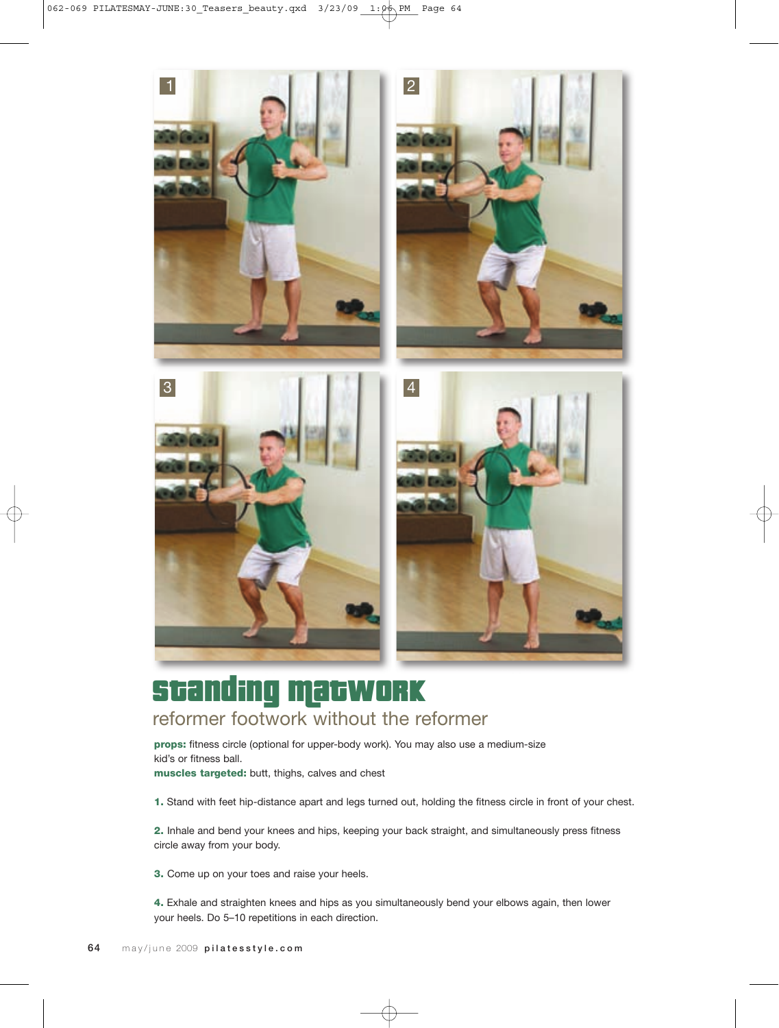

### Standing Matwork reformer footwork without the reformer

**props:** fitness circle (optional for upper-body work). You may also use a medium-size kid's or fitness ball.

**muscles targeted:** butt, thighs, calves and chest

**1.** Stand with feet hip-distance apart and legs turned out, holding the fitness circle in front of your chest.

**2.** Inhale and bend your knees and hips, keeping your back straight, and simultaneously press fitness circle away from your body.

**3.** Come up on your toes and raise your heels.

**4.** Exhale and straighten knees and hips as you simultaneously bend your elbows again, then lower your heels. Do 5–10 repetitions in each direction.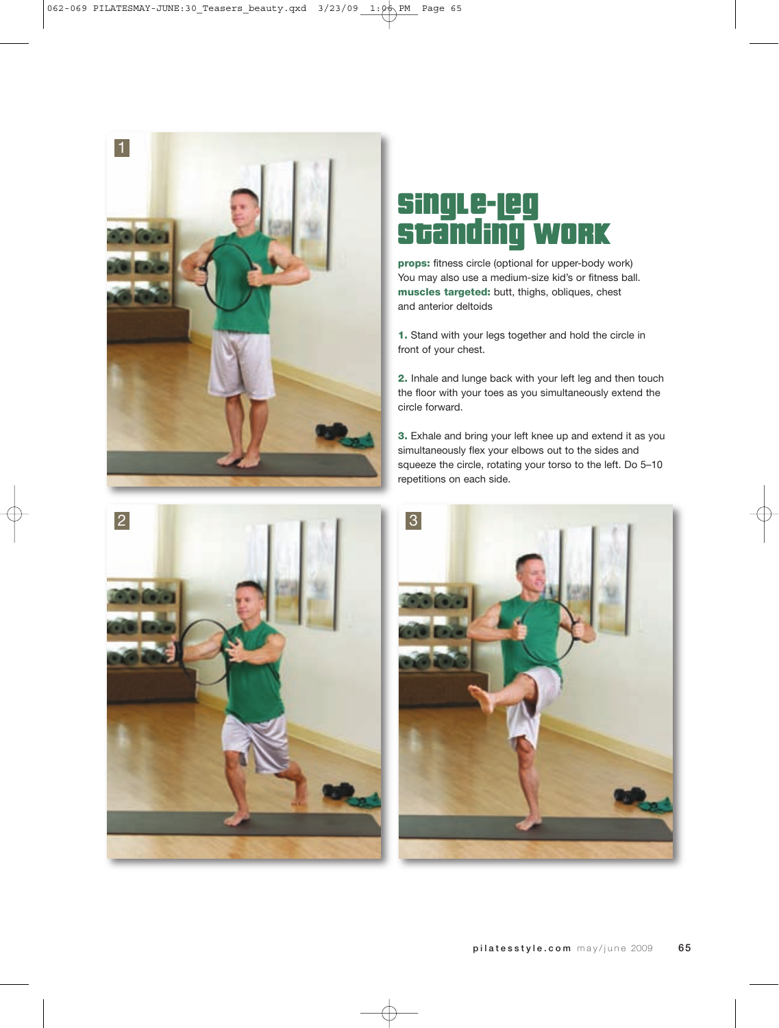



# gLe-Leg<br>md:ma Standing work

**props:** fitness circle (optional for upper-body work) You may also use a medium-size kid's or fitness ball. **muscles targeted:** butt, thighs, obliques, chest and anterior deltoids

**1.** Stand with your legs together and hold the circle in front of your chest.

**2.** Inhale and lunge back with your left leg and then touch the floor with your toes as you simultaneously extend the circle forward.

**3.** Exhale and bring your left knee up and extend it as you simultaneously flex your elbows out to the sides and squeeze the circle, rotating your torso to the left. Do 5–10 repetitions on each side.

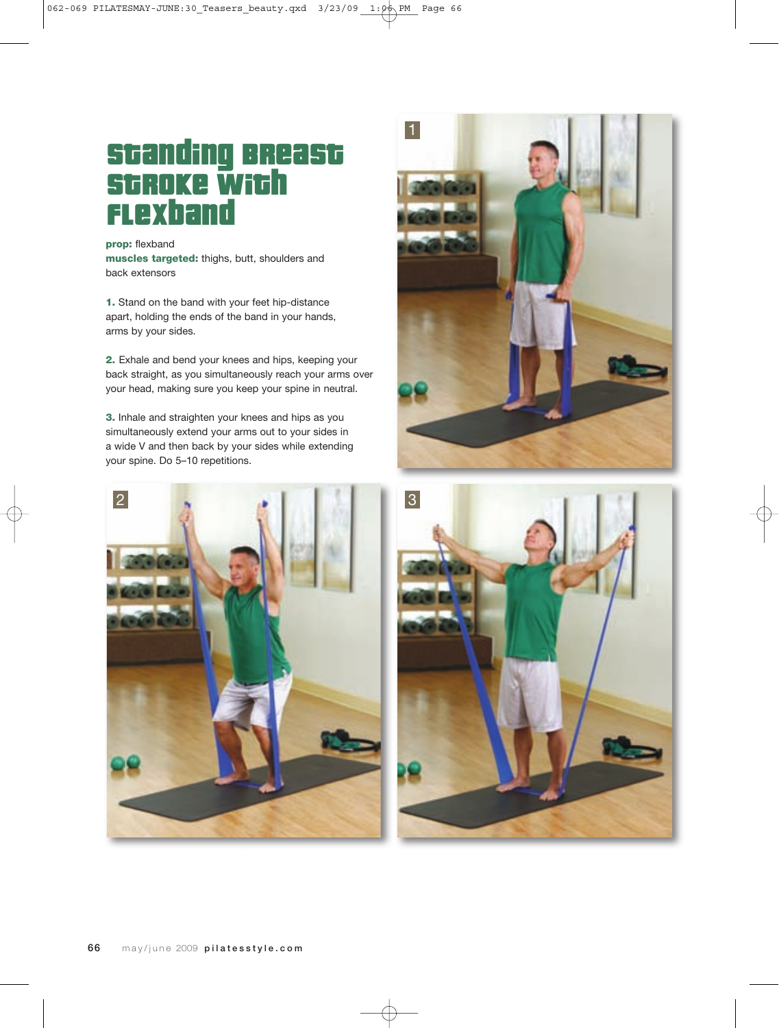# Standing Breast **Stroke with** flexband

**prop:** flexband **muscles targeted:** thighs, butt, shoulders and back extensors

**1.** Stand on the band with your feet hip-distance apart, holding the ends of the band in your hands, arms by your sides.

**2.** Exhale and bend your knees and hips, keeping your back straight, as you simultaneously reach your arms over your head, making sure you keep your spine in neutral.

**3.** Inhale and straighten your knees and hips as you simultaneously extend your arms out to your sides in a wide V and then back by your sides while extending your spine. Do 5–10 repetitions.





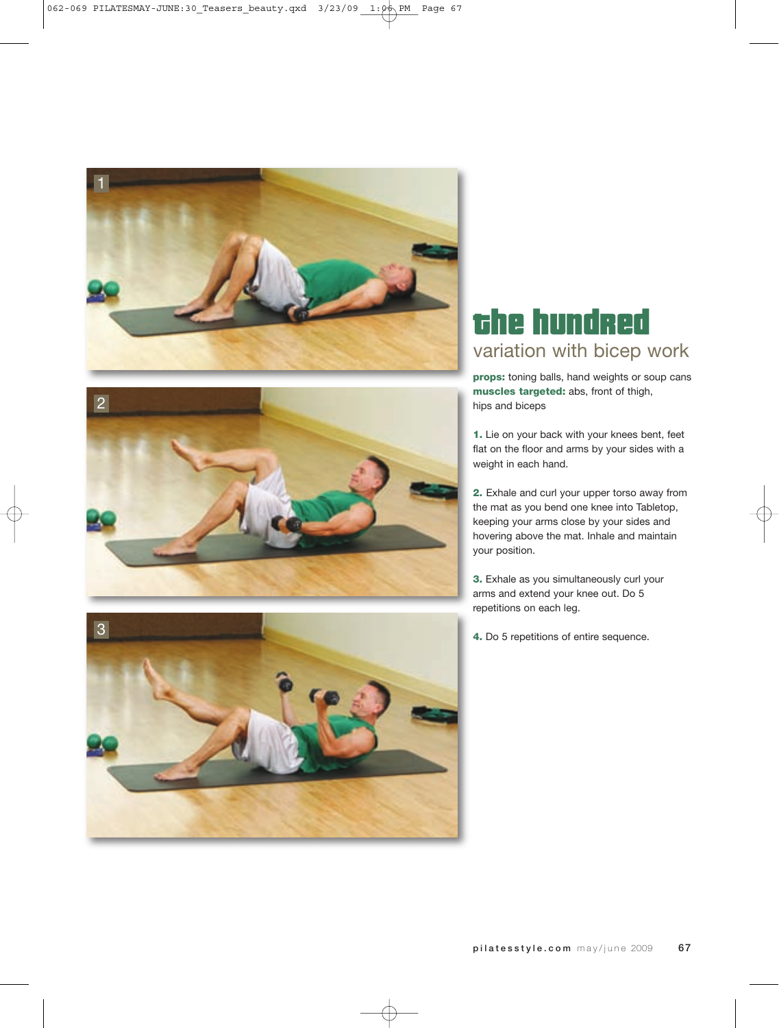



#### the hundred variation with bicep work

**props:** toning balls, hand weights or soup cans **muscles targeted:** abs, front of thigh, hips and biceps

**1.** Lie on your back with your knees bent, feet flat on the floor and arms by your sides with a weight in each hand.

**2.** Exhale and curl your upper torso away from the mat as you bend one knee into Tabletop, keeping your arms close by your sides and hovering above the mat. Inhale and maintain your position.

**3.** Exhale as you simultaneously curl your arms and extend your knee out. Do 5 repetitions on each leg.

**4.** Do 5 repetitions of entire sequence.

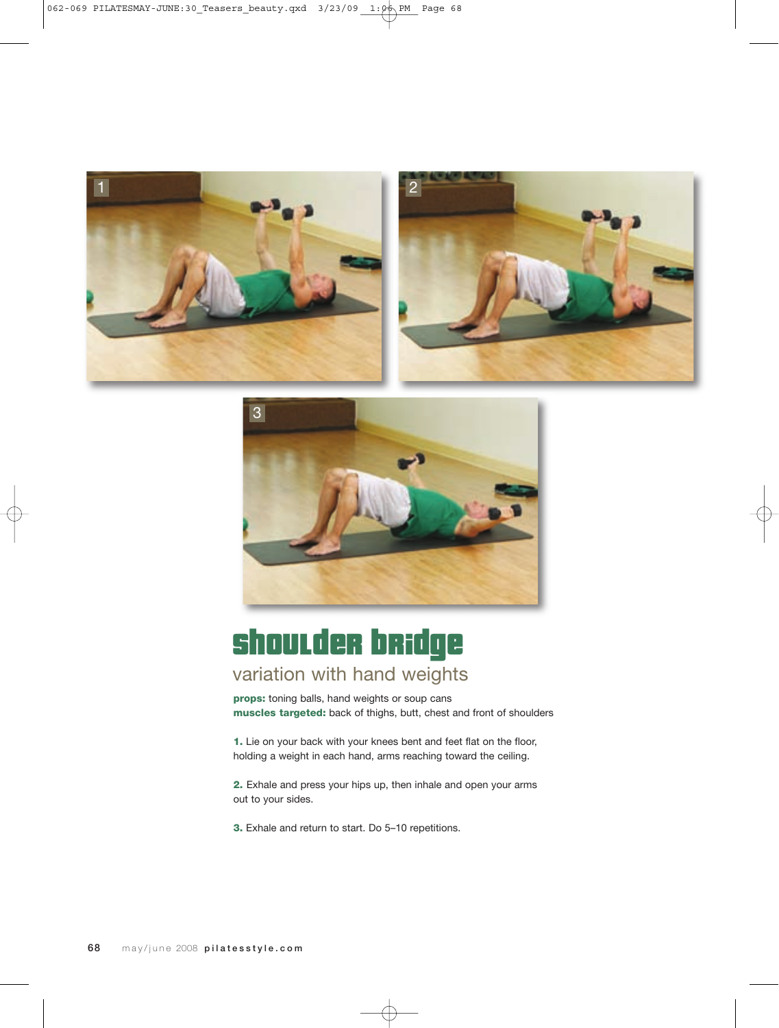





# shoulder bridge

#### variation with hand weights

**props:** toning balls, hand weights or soup cans **muscles targeted:** back of thighs, butt, chest and front of shoulders

**1.** Lie on your back with your knees bent and feet flat on the floor, holding a weight in each hand, arms reaching toward the ceiling.

**2.** Exhale and press your hips up, then inhale and open your arms out to your sides.

**3.** Exhale and return to start. Do 5–10 repetitions.